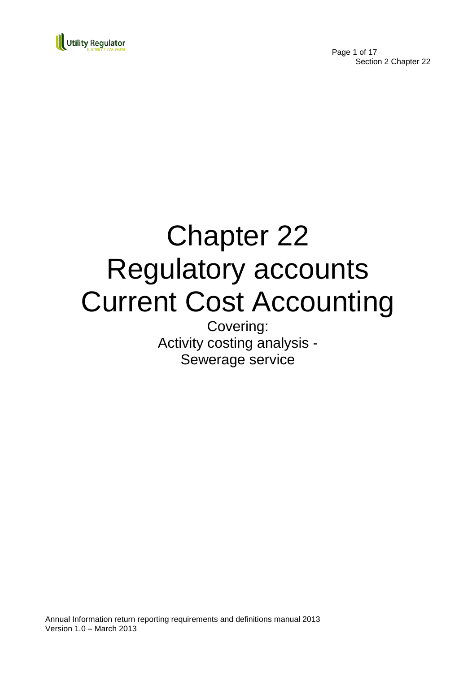

Page 1 of 17 Section 2 Chapter 22

# Chapter 22 Regulatory accounts Current Cost Accounting

Covering: Activity costing analysis - Sewerage service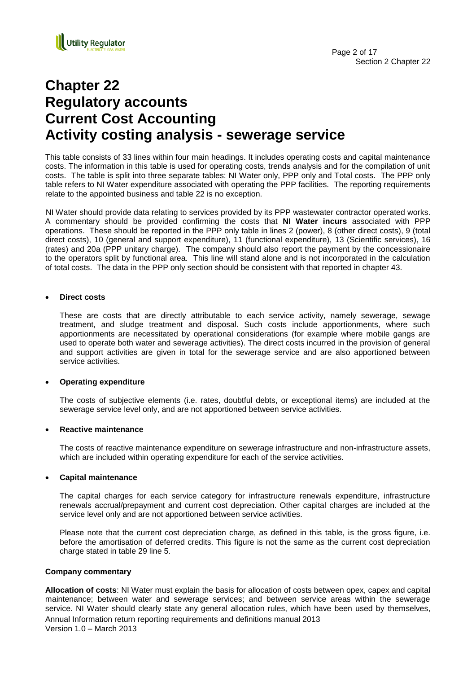

# **Chapter 22 Regulatory accounts Current Cost Accounting Activity costing analysis - sewerage service**

This table consists of 33 lines within four main headings. It includes operating costs and capital maintenance costs. The information in this table is used for operating costs, trends analysis and for the compilation of unit costs. The table is split into three separate tables: NI Water only, PPP only and Total costs. The PPP only table refers to NI Water expenditure associated with operating the PPP facilities. The reporting requirements relate to the appointed business and table 22 is no exception.

NI Water should provide data relating to services provided by its PPP wastewater contractor operated works. A commentary should be provided confirming the costs that **NI Water incurs** associated with PPP operations. These should be reported in the PPP only table in lines 2 (power), 8 (other direct costs), 9 (total direct costs), 10 (general and support expenditure), 11 (functional expenditure), 13 (Scientific services), 16 (rates) and 20a (PPP unitary charge). The company should also report the payment by the concessionaire to the operators split by functional area. This line will stand alone and is not incorporated in the calculation of total costs. The data in the PPP only section should be consistent with that reported in chapter 43.

#### **Direct costs**

These are costs that are directly attributable to each service activity, namely sewerage, sewage treatment, and sludge treatment and disposal. Such costs include apportionments, where such apportionments are necessitated by operational considerations (for example where mobile gangs are used to operate both water and sewerage activities). The direct costs incurred in the provision of general and support activities are given in total for the sewerage service and are also apportioned between service activities.

## **Operating expenditure**

The costs of subjective elements (i.e. rates, doubtful debts, or exceptional items) are included at the sewerage service level only, and are not apportioned between service activities.

#### **Reactive maintenance**

The costs of reactive maintenance expenditure on sewerage infrastructure and non-infrastructure assets, which are included within operating expenditure for each of the service activities.

#### **Capital maintenance**

The capital charges for each service category for infrastructure renewals expenditure, infrastructure renewals accrual/prepayment and current cost depreciation. Other capital charges are included at the service level only and are not apportioned between service activities.

Please note that the current cost depreciation charge, as defined in this table, is the gross figure, i.e. before the amortisation of deferred credits. This figure is not the same as the current cost depreciation charge stated in table 29 line 5.

#### **Company commentary**

Annual Information return reporting requirements and definitions manual 2013 Version 1.0 – March 2013 **Allocation of costs**: NI Water must explain the basis for allocation of costs between opex, capex and capital maintenance; between water and sewerage services; and between service areas within the sewerage service. NI Water should clearly state any general allocation rules, which have been used by themselves,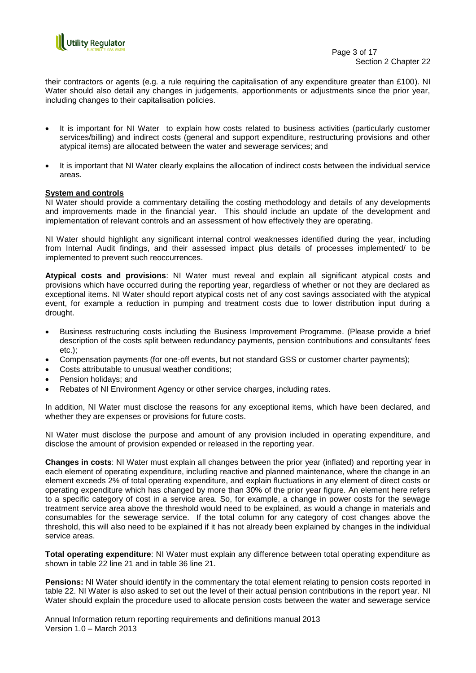

their contractors or agents (e.g. a rule requiring the capitalisation of any expenditure greater than £100). NI Water should also detail any changes in judgements, apportionments or adjustments since the prior year, including changes to their capitalisation policies.

- It is important for NI Water to explain how costs related to business activities (particularly customer services/billing) and indirect costs (general and support expenditure, restructuring provisions and other atypical items) are allocated between the water and sewerage services; and
- It is important that NI Water clearly explains the allocation of indirect costs between the individual service areas.

# **System and controls**

NI Water should provide a commentary detailing the costing methodology and details of any developments and improvements made in the financial year. This should include an update of the development and implementation of relevant controls and an assessment of how effectively they are operating.

NI Water should highlight any significant internal control weaknesses identified during the year, including from Internal Audit findings, and their assessed impact plus details of processes implemented/ to be implemented to prevent such reoccurrences.

**Atypical costs and provisions**: NI Water must reveal and explain all significant atypical costs and provisions which have occurred during the reporting year, regardless of whether or not they are declared as exceptional items. NI Water should report atypical costs net of any cost savings associated with the atypical event, for example a reduction in pumping and treatment costs due to lower distribution input during a drought.

- Business restructuring costs including the Business Improvement Programme. (Please provide a brief description of the costs split between redundancy payments, pension contributions and consultants' fees etc.);
- Compensation payments (for one-off events, but not standard GSS or customer charter payments);
- Costs attributable to unusual weather conditions;
- Pension holidays; and
- Rebates of NI Environment Agency or other service charges, including rates.

In addition, NI Water must disclose the reasons for any exceptional items, which have been declared, and whether they are expenses or provisions for future costs.

NI Water must disclose the purpose and amount of any provision included in operating expenditure, and disclose the amount of provision expended or released in the reporting year.

**Changes in costs**: NI Water must explain all changes between the prior year (inflated) and reporting year in each element of operating expenditure, including reactive and planned maintenance, where the change in an element exceeds 2% of total operating expenditure, and explain fluctuations in any element of direct costs or operating expenditure which has changed by more than 30% of the prior year figure. An element here refers to a specific category of cost in a service area. So, for example, a change in power costs for the sewage treatment service area above the threshold would need to be explained, as would a change in materials and consumables for the sewerage service. If the total column for any category of cost changes above the threshold, this will also need to be explained if it has not already been explained by changes in the individual service areas.

**Total operating expenditure**: NI Water must explain any difference between total operating expenditure as shown in table 22 line 21 and in table 36 line 21.

**Pensions:** NI Water should identify in the commentary the total element relating to pension costs reported in table 22. NI Water is also asked to set out the level of their actual pension contributions in the report year. NI Water should explain the procedure used to allocate pension costs between the water and sewerage service

Annual Information return reporting requirements and definitions manual 2013 Version 1.0 – March 2013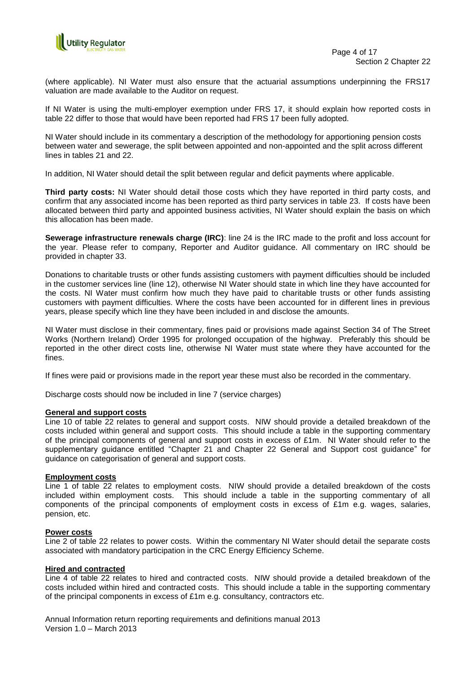

(where applicable). NI Water must also ensure that the actuarial assumptions underpinning the FRS17 valuation are made available to the Auditor on request.

If NI Water is using the multi-employer exemption under FRS 17, it should explain how reported costs in table 22 differ to those that would have been reported had FRS 17 been fully adopted.

NI Water should include in its commentary a description of the methodology for apportioning pension costs between water and sewerage, the split between appointed and non-appointed and the split across different lines in tables 21 and 22.

In addition, NI Water should detail the split between regular and deficit payments where applicable.

**Third party costs:** NI Water should detail those costs which they have reported in third party costs, and confirm that any associated income has been reported as third party services in table 23. If costs have been allocated between third party and appointed business activities, NI Water should explain the basis on which this allocation has been made.

**Sewerage infrastructure renewals charge (IRC)**: line 24 is the IRC made to the profit and loss account for the year. Please refer to company, Reporter and Auditor guidance. All commentary on IRC should be provided in chapter 33.

Donations to charitable trusts or other funds assisting customers with payment difficulties should be included in the customer services line (line 12), otherwise NI Water should state in which line they have accounted for the costs. NI Water must confirm how much they have paid to charitable trusts or other funds assisting customers with payment difficulties. Where the costs have been accounted for in different lines in previous years, please specify which line they have been included in and disclose the amounts.

NI Water must disclose in their commentary, fines paid or provisions made against Section 34 of The Street Works (Northern Ireland) Order 1995 for prolonged occupation of the highway. Preferably this should be reported in the other direct costs line, otherwise NI Water must state where they have accounted for the fines.

If fines were paid or provisions made in the report year these must also be recorded in the commentary.

Discharge costs should now be included in line 7 (service charges)

#### **General and support costs**

Line 10 of table 22 relates to general and support costs. NIW should provide a detailed breakdown of the costs included within general and support costs. This should include a table in the supporting commentary of the principal components of general and support costs in excess of £1m. NI Water should refer to the supplementary guidance entitled "Chapter 21 and Chapter 22 General and Support cost guidance" for guidance on categorisation of general and support costs.

#### **Employment costs**

Line 1 of table 22 relates to employment costs. NIW should provide a detailed breakdown of the costs included within employment costs. This should include a table in the supporting commentary of all components of the principal components of employment costs in excess of £1m e.g. wages, salaries, pension, etc.

#### **Power costs**

Line 2 of table 22 relates to power costs. Within the commentary NI Water should detail the separate costs associated with mandatory participation in the CRC Energy Efficiency Scheme.

#### **Hired and contracted**

Line 4 of table 22 relates to hired and contracted costs. NIW should provide a detailed breakdown of the costs included within hired and contracted costs. This should include a table in the supporting commentary of the principal components in excess of £1m e.g. consultancy, contractors etc.

Annual Information return reporting requirements and definitions manual 2013 Version 1.0 – March 2013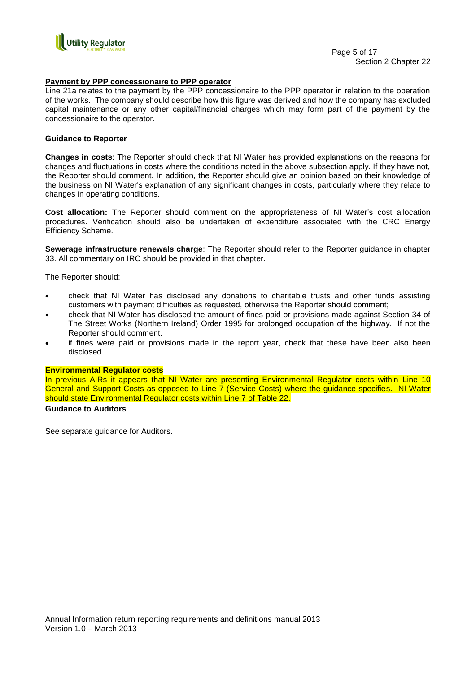

#### **Payment by PPP concessionaire to PPP operator**

Line 21a relates to the payment by the PPP concessionaire to the PPP operator in relation to the operation of the works. The company should describe how this figure was derived and how the company has excluded capital maintenance or any other capital/financial charges which may form part of the payment by the concessionaire to the operator.

#### **Guidance to Reporter**

**Changes in costs**: The Reporter should check that NI Water has provided explanations on the reasons for changes and fluctuations in costs where the conditions noted in the above subsection apply. If they have not, the Reporter should comment. In addition, the Reporter should give an opinion based on their knowledge of the business on NI Water's explanation of any significant changes in costs, particularly where they relate to changes in operating conditions.

**Cost allocation:** The Reporter should comment on the appropriateness of NI Water"s cost allocation procedures. Verification should also be undertaken of expenditure associated with the CRC Energy Efficiency Scheme.

**Sewerage infrastructure renewals charge**: The Reporter should refer to the Reporter guidance in chapter 33. All commentary on IRC should be provided in that chapter.

The Reporter should:

- check that NI Water has disclosed any donations to charitable trusts and other funds assisting customers with payment difficulties as requested, otherwise the Reporter should comment;
- check that NI Water has disclosed the amount of fines paid or provisions made against Section 34 of The Street Works (Northern Ireland) Order 1995 for prolonged occupation of the highway. If not the Reporter should comment.
- if fines were paid or provisions made in the report year, check that these have been also been disclosed.

#### **Environmental Regulator costs**

In previous AIRs it appears that NI Water are presenting Environmental Regulator costs within Line 10 General and Support Costs as opposed to Line 7 (Service Costs) where the guidance specifies. NI Water should state Environmental Regulator costs within Line 7 of Table 22.

# **Guidance to Auditors**

See separate guidance for Auditors.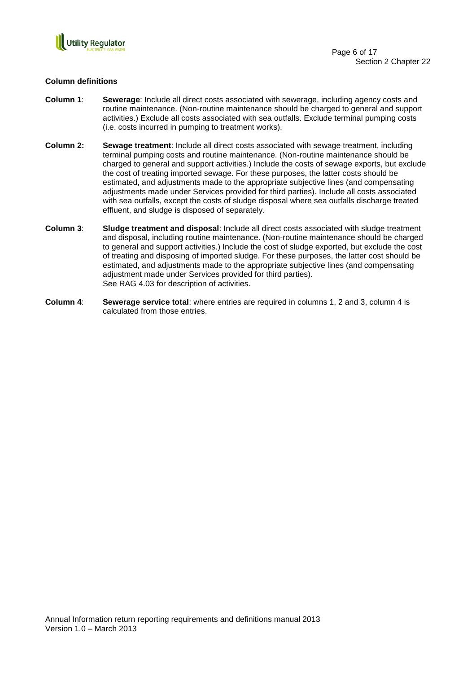

## **Column definitions**

- **Column 1**: **Sewerage**: Include all direct costs associated with sewerage, including agency costs and routine maintenance. (Non-routine maintenance should be charged to general and support activities.) Exclude all costs associated with sea outfalls. Exclude terminal pumping costs (i.e. costs incurred in pumping to treatment works).
- **Column 2: Sewage treatment**: Include all direct costs associated with sewage treatment, including terminal pumping costs and routine maintenance. (Non-routine maintenance should be charged to general and support activities.) Include the costs of sewage exports, but exclude the cost of treating imported sewage. For these purposes, the latter costs should be estimated, and adjustments made to the appropriate subjective lines (and compensating adjustments made under Services provided for third parties). Include all costs associated with sea outfalls, except the costs of sludge disposal where sea outfalls discharge treated effluent, and sludge is disposed of separately.
- **Column 3**: **Sludge treatment and disposal**: Include all direct costs associated with sludge treatment and disposal, including routine maintenance. (Non-routine maintenance should be charged to general and support activities.) Include the cost of sludge exported, but exclude the cost of treating and disposing of imported sludge. For these purposes, the latter cost should be estimated, and adjustments made to the appropriate subjective lines (and compensating adjustment made under Services provided for third parties). See RAG 4.03 for description of activities.
- **Column 4**: **Sewerage service total**: where entries are required in columns 1, 2 and 3, column 4 is calculated from those entries.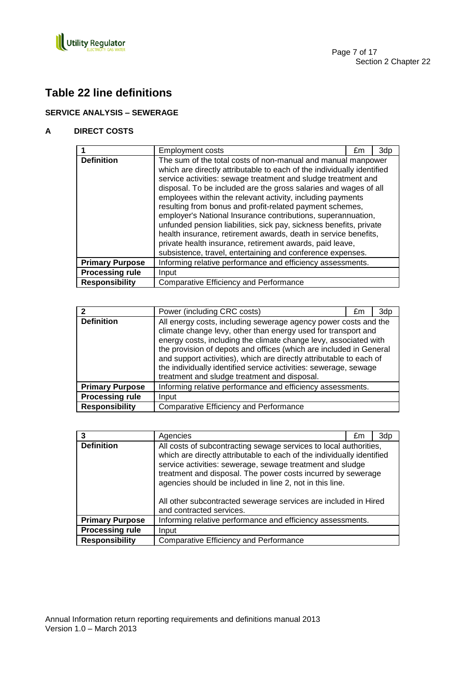

# **Table 22 line definitions**

# **SERVICE ANALYSIS – SEWERAGE**

# **A DIRECT COSTS**

|                        | Employment costs                                                                                                                                                                                                                                                                                                                                                                                                                                                                                                                                                                                                                                                                                                                         | £m | 3dp |
|------------------------|------------------------------------------------------------------------------------------------------------------------------------------------------------------------------------------------------------------------------------------------------------------------------------------------------------------------------------------------------------------------------------------------------------------------------------------------------------------------------------------------------------------------------------------------------------------------------------------------------------------------------------------------------------------------------------------------------------------------------------------|----|-----|
| <b>Definition</b>      | The sum of the total costs of non-manual and manual manpower<br>which are directly attributable to each of the individually identified<br>service activities: sewage treatment and sludge treatment and<br>disposal. To be included are the gross salaries and wages of all<br>employees within the relevant activity, including payments<br>resulting from bonus and profit-related payment schemes,<br>employer's National Insurance contributions, superannuation,<br>unfunded pension liabilities, sick pay, sickness benefits, private<br>health insurance, retirement awards, death in service benefits,<br>private health insurance, retirement awards, paid leave,<br>subsistence, travel, entertaining and conference expenses. |    |     |
| <b>Primary Purpose</b> | Informing relative performance and efficiency assessments.                                                                                                                                                                                                                                                                                                                                                                                                                                                                                                                                                                                                                                                                               |    |     |
| <b>Processing rule</b> | Input                                                                                                                                                                                                                                                                                                                                                                                                                                                                                                                                                                                                                                                                                                                                    |    |     |
| <b>Responsibility</b>  | <b>Comparative Efficiency and Performance</b>                                                                                                                                                                                                                                                                                                                                                                                                                                                                                                                                                                                                                                                                                            |    |     |

|                        | Power (including CRC costs)                                                                                                                                                                                                                                                                                                                                                                                                                                           | £m | 3dp |
|------------------------|-----------------------------------------------------------------------------------------------------------------------------------------------------------------------------------------------------------------------------------------------------------------------------------------------------------------------------------------------------------------------------------------------------------------------------------------------------------------------|----|-----|
| <b>Definition</b>      | All energy costs, including sewerage agency power costs and the<br>climate change levy, other than energy used for transport and<br>energy costs, including the climate change levy, associated with<br>the provision of depots and offices (which are included in General<br>and support activities), which are directly attributable to each of<br>the individually identified service activities: sewerage, sewage<br>treatment and sludge treatment and disposal. |    |     |
| <b>Primary Purpose</b> | Informing relative performance and efficiency assessments.                                                                                                                                                                                                                                                                                                                                                                                                            |    |     |
| <b>Processing rule</b> | Input                                                                                                                                                                                                                                                                                                                                                                                                                                                                 |    |     |
| <b>Responsibility</b>  | <b>Comparative Efficiency and Performance</b>                                                                                                                                                                                                                                                                                                                                                                                                                         |    |     |

|                        | Agencies                                                                                                                                                                                                                                                                                                                                                                                                                            | £m | 3dp |
|------------------------|-------------------------------------------------------------------------------------------------------------------------------------------------------------------------------------------------------------------------------------------------------------------------------------------------------------------------------------------------------------------------------------------------------------------------------------|----|-----|
| <b>Definition</b>      | All costs of subcontracting sewage services to local authorities,<br>which are directly attributable to each of the individually identified<br>service activities: sewerage, sewage treatment and sludge<br>treatment and disposal. The power costs incurred by sewerage<br>agencies should be included in line 2, not in this line.<br>All other subcontracted sewerage services are included in Hired<br>and contracted services. |    |     |
| <b>Primary Purpose</b> | Informing relative performance and efficiency assessments.                                                                                                                                                                                                                                                                                                                                                                          |    |     |
| <b>Processing rule</b> | Input                                                                                                                                                                                                                                                                                                                                                                                                                               |    |     |
| <b>Responsibility</b>  | <b>Comparative Efficiency and Performance</b>                                                                                                                                                                                                                                                                                                                                                                                       |    |     |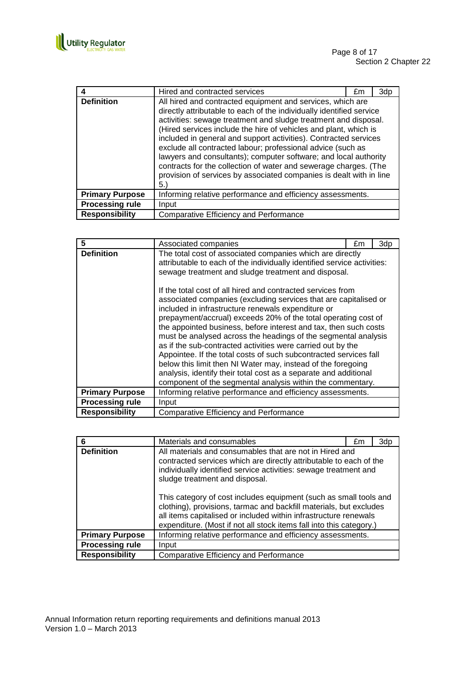

|                        | Hired and contracted services                                                                                                                                                                                                                                                                                                                                                                                                                                                                                                                                                                                                      | £m | 3d <sub>p</sub> |
|------------------------|------------------------------------------------------------------------------------------------------------------------------------------------------------------------------------------------------------------------------------------------------------------------------------------------------------------------------------------------------------------------------------------------------------------------------------------------------------------------------------------------------------------------------------------------------------------------------------------------------------------------------------|----|-----------------|
| <b>Definition</b>      | All hired and contracted equipment and services, which are<br>directly attributable to each of the individually identified service<br>activities: sewage treatment and sludge treatment and disposal.<br>(Hired services include the hire of vehicles and plant, which is<br>included in general and support activities). Contracted services<br>exclude all contracted labour; professional advice (such as<br>lawyers and consultants); computer software; and local authority<br>contracts for the collection of water and sewerage charges. (The<br>provision of services by associated companies is dealt with in line<br>5.) |    |                 |
| <b>Primary Purpose</b> | Informing relative performance and efficiency assessments.                                                                                                                                                                                                                                                                                                                                                                                                                                                                                                                                                                         |    |                 |
| <b>Processing rule</b> | Input                                                                                                                                                                                                                                                                                                                                                                                                                                                                                                                                                                                                                              |    |                 |
| <b>Responsibility</b>  | Comparative Efficiency and Performance                                                                                                                                                                                                                                                                                                                                                                                                                                                                                                                                                                                             |    |                 |

| 5                      | Associated companies                                                                                                                                                                                                                                                                                                                                                                                                                                                                                                                                                                                                                                                                                                                | £m | 3dp |
|------------------------|-------------------------------------------------------------------------------------------------------------------------------------------------------------------------------------------------------------------------------------------------------------------------------------------------------------------------------------------------------------------------------------------------------------------------------------------------------------------------------------------------------------------------------------------------------------------------------------------------------------------------------------------------------------------------------------------------------------------------------------|----|-----|
| <b>Definition</b>      | The total cost of associated companies which are directly<br>attributable to each of the individually identified service activities:<br>sewage treatment and sludge treatment and disposal.                                                                                                                                                                                                                                                                                                                                                                                                                                                                                                                                         |    |     |
|                        | If the total cost of all hired and contracted services from<br>associated companies (excluding services that are capitalised or<br>included in infrastructure renewals expenditure or<br>prepayment/accrual) exceeds 20% of the total operating cost of<br>the appointed business, before interest and tax, then such costs<br>must be analysed across the headings of the segmental analysis<br>as if the sub-contracted activities were carried out by the<br>Appointee. If the total costs of such subcontracted services fall<br>below this limit then NI Water may, instead of the foregoing<br>analysis, identify their total cost as a separate and additional<br>component of the segmental analysis within the commentary. |    |     |
| <b>Primary Purpose</b> | Informing relative performance and efficiency assessments.                                                                                                                                                                                                                                                                                                                                                                                                                                                                                                                                                                                                                                                                          |    |     |
| <b>Processing rule</b> | Input                                                                                                                                                                                                                                                                                                                                                                                                                                                                                                                                                                                                                                                                                                                               |    |     |
| <b>Responsibility</b>  | <b>Comparative Efficiency and Performance</b>                                                                                                                                                                                                                                                                                                                                                                                                                                                                                                                                                                                                                                                                                       |    |     |

|                        | Materials and consumables                                                                                                                                                                                                                                                          | £m | 3dp |
|------------------------|------------------------------------------------------------------------------------------------------------------------------------------------------------------------------------------------------------------------------------------------------------------------------------|----|-----|
| <b>Definition</b>      | All materials and consumables that are not in Hired and<br>contracted services which are directly attributable to each of the<br>individually identified service activities: sewage treatment and<br>sludge treatment and disposal.                                                |    |     |
|                        | This category of cost includes equipment (such as small tools and<br>clothing), provisions, tarmac and backfill materials, but excludes<br>all items capitalised or included within infrastructure renewals<br>expenditure. (Most if not all stock items fall into this category.) |    |     |
| <b>Primary Purpose</b> | Informing relative performance and efficiency assessments.                                                                                                                                                                                                                         |    |     |
| <b>Processing rule</b> | Input                                                                                                                                                                                                                                                                              |    |     |
| <b>Responsibility</b>  | <b>Comparative Efficiency and Performance</b>                                                                                                                                                                                                                                      |    |     |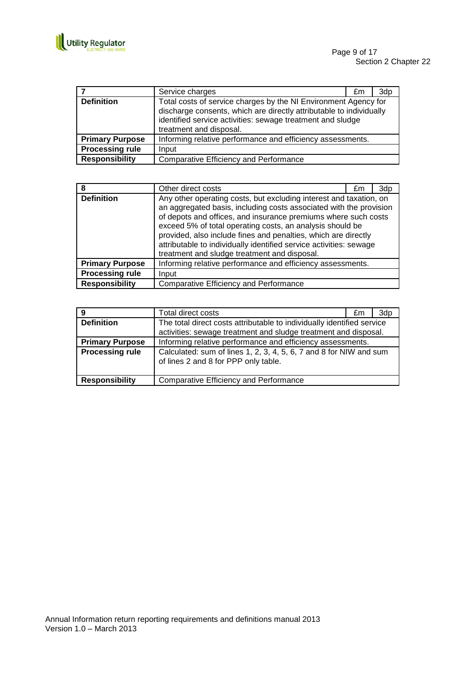

|                        | Service charges                                                                                                                                                                                                                 | £m | 3d <sub>p</sub> |
|------------------------|---------------------------------------------------------------------------------------------------------------------------------------------------------------------------------------------------------------------------------|----|-----------------|
| <b>Definition</b>      | Total costs of service charges by the NI Environment Agency for<br>discharge consents, which are directly attributable to individually<br>identified service activities: sewage treatment and sludge<br>treatment and disposal. |    |                 |
| <b>Primary Purpose</b> | Informing relative performance and efficiency assessments.                                                                                                                                                                      |    |                 |
| <b>Processing rule</b> | Input                                                                                                                                                                                                                           |    |                 |
| <b>Responsibility</b>  | Comparative Efficiency and Performance                                                                                                                                                                                          |    |                 |

|                        | Other direct costs                                                                                                                                                                                                                                                                                                                                                                                                                                              | £m | 3dp |
|------------------------|-----------------------------------------------------------------------------------------------------------------------------------------------------------------------------------------------------------------------------------------------------------------------------------------------------------------------------------------------------------------------------------------------------------------------------------------------------------------|----|-----|
| <b>Definition</b>      | Any other operating costs, but excluding interest and taxation, on<br>an aggregated basis, including costs associated with the provision<br>of depots and offices, and insurance premiums where such costs<br>exceed 5% of total operating costs, an analysis should be<br>provided, also include fines and penalties, which are directly<br>attributable to individually identified service activities: sewage<br>treatment and sludge treatment and disposal. |    |     |
| <b>Primary Purpose</b> | Informing relative performance and efficiency assessments.                                                                                                                                                                                                                                                                                                                                                                                                      |    |     |
| <b>Processing rule</b> | Input                                                                                                                                                                                                                                                                                                                                                                                                                                                           |    |     |
| <b>Responsibility</b>  | <b>Comparative Efficiency and Performance</b>                                                                                                                                                                                                                                                                                                                                                                                                                   |    |     |

| 9                      | Total direct costs                                                                                                                        | £m | 3d <sub>p</sub> |
|------------------------|-------------------------------------------------------------------------------------------------------------------------------------------|----|-----------------|
| <b>Definition</b>      | The total direct costs attributable to individually identified service<br>activities: sewage treatment and sludge treatment and disposal. |    |                 |
| <b>Primary Purpose</b> | Informing relative performance and efficiency assessments.                                                                                |    |                 |
| <b>Processing rule</b> | Calculated: sum of lines 1, 2, 3, 4, 5, 6, 7 and 8 for NIW and sum<br>of lines 2 and 8 for PPP only table.                                |    |                 |
| <b>Responsibility</b>  | Comparative Efficiency and Performance                                                                                                    |    |                 |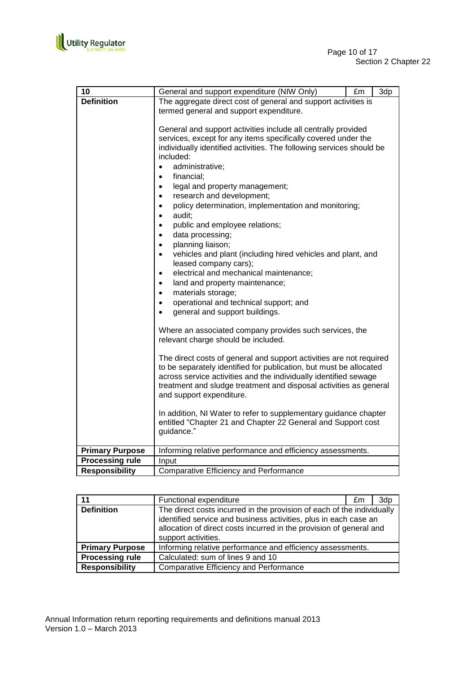

| 10                     | General and support expenditure (NIW Only)<br>£m<br>3dp                                                                                                                                                                                                                                                                                                                                                                                                                                                                                                                                                                                                                                                                                                                                                                                                                                                         |
|------------------------|-----------------------------------------------------------------------------------------------------------------------------------------------------------------------------------------------------------------------------------------------------------------------------------------------------------------------------------------------------------------------------------------------------------------------------------------------------------------------------------------------------------------------------------------------------------------------------------------------------------------------------------------------------------------------------------------------------------------------------------------------------------------------------------------------------------------------------------------------------------------------------------------------------------------|
| <b>Definition</b>      | The aggregate direct cost of general and support activities is<br>termed general and support expenditure.                                                                                                                                                                                                                                                                                                                                                                                                                                                                                                                                                                                                                                                                                                                                                                                                       |
|                        | General and support activities include all centrally provided<br>services, except for any items specifically covered under the<br>individually identified activities. The following services should be<br>included:<br>administrative;<br>$\bullet$<br>financial;<br>$\bullet$<br>legal and property management;<br>$\bullet$<br>research and development;<br>$\bullet$<br>policy determination, implementation and monitoring;<br>$\bullet$<br>audit;<br>$\bullet$<br>public and employee relations;<br>$\bullet$<br>data processing;<br>$\bullet$<br>planning liaison;<br>$\bullet$<br>vehicles and plant (including hired vehicles and plant, and<br>$\bullet$<br>leased company cars);<br>electrical and mechanical maintenance;<br>$\bullet$<br>land and property maintenance;<br>materials storage;<br>$\bullet$<br>operational and technical support; and<br>$\bullet$<br>general and support buildings. |
|                        | Where an associated company provides such services, the<br>relevant charge should be included.                                                                                                                                                                                                                                                                                                                                                                                                                                                                                                                                                                                                                                                                                                                                                                                                                  |
|                        | The direct costs of general and support activities are not required<br>to be separately identified for publication, but must be allocated<br>across service activities and the individually identified sewage<br>treatment and sludge treatment and disposal activities as general<br>and support expenditure.                                                                                                                                                                                                                                                                                                                                                                                                                                                                                                                                                                                                  |
|                        | In addition, NI Water to refer to supplementary guidance chapter<br>entitled "Chapter 21 and Chapter 22 General and Support cost<br>guidance."                                                                                                                                                                                                                                                                                                                                                                                                                                                                                                                                                                                                                                                                                                                                                                  |
| <b>Primary Purpose</b> | Informing relative performance and efficiency assessments.                                                                                                                                                                                                                                                                                                                                                                                                                                                                                                                                                                                                                                                                                                                                                                                                                                                      |
| <b>Processing rule</b> | Input                                                                                                                                                                                                                                                                                                                                                                                                                                                                                                                                                                                                                                                                                                                                                                                                                                                                                                           |
| <b>Responsibility</b>  | <b>Comparative Efficiency and Performance</b>                                                                                                                                                                                                                                                                                                                                                                                                                                                                                                                                                                                                                                                                                                                                                                                                                                                                   |

| 11                     | Functional expenditure                                                                                                                                                                                                                   | £m | 3d <sub>p</sub> |
|------------------------|------------------------------------------------------------------------------------------------------------------------------------------------------------------------------------------------------------------------------------------|----|-----------------|
| <b>Definition</b>      | The direct costs incurred in the provision of each of the individually<br>identified service and business activities, plus in each case an<br>allocation of direct costs incurred in the provision of general and<br>support activities. |    |                 |
| <b>Primary Purpose</b> | Informing relative performance and efficiency assessments.                                                                                                                                                                               |    |                 |
| <b>Processing rule</b> | Calculated: sum of lines 9 and 10                                                                                                                                                                                                        |    |                 |
| <b>Responsibility</b>  | <b>Comparative Efficiency and Performance</b>                                                                                                                                                                                            |    |                 |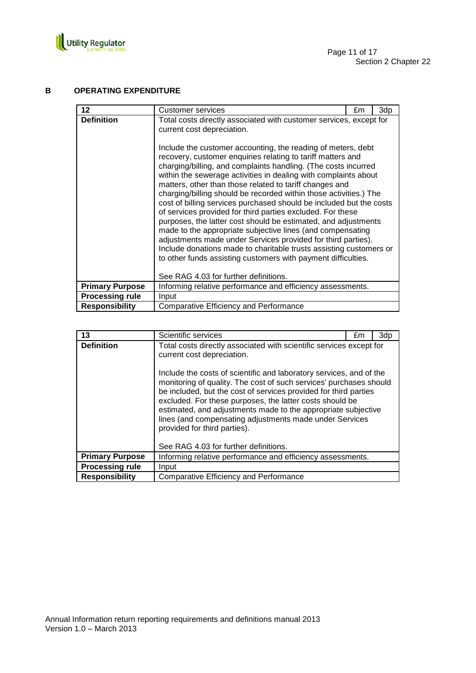

# **B OPERATING EXPENDITURE**

| 12                     | Customer services                                                                                                                                                                                                                                                                                                                                                                                                                                                                                                                                                                                                                                                                                                                                                                                                                                                                                                                                                                                                         | £m | 3dp |
|------------------------|---------------------------------------------------------------------------------------------------------------------------------------------------------------------------------------------------------------------------------------------------------------------------------------------------------------------------------------------------------------------------------------------------------------------------------------------------------------------------------------------------------------------------------------------------------------------------------------------------------------------------------------------------------------------------------------------------------------------------------------------------------------------------------------------------------------------------------------------------------------------------------------------------------------------------------------------------------------------------------------------------------------------------|----|-----|
| <b>Definition</b>      | Total costs directly associated with customer services, except for<br>current cost depreciation.<br>Include the customer accounting, the reading of meters, debt<br>recovery, customer enquiries relating to tariff matters and<br>charging/billing, and complaints handling. (The costs incurred<br>within the sewerage activities in dealing with complaints about<br>matters, other than those related to tariff changes and<br>charging/billing should be recorded within those activities.) The<br>cost of billing services purchased should be included but the costs<br>of services provided for third parties excluded. For these<br>purposes, the latter cost should be estimated, and adjustments<br>made to the appropriate subjective lines (and compensating<br>adjustments made under Services provided for third parties).<br>Include donations made to charitable trusts assisting customers or<br>to other funds assisting customers with payment difficulties.<br>See RAG 4.03 for further definitions. |    |     |
| <b>Primary Purpose</b> | Informing relative performance and efficiency assessments.                                                                                                                                                                                                                                                                                                                                                                                                                                                                                                                                                                                                                                                                                                                                                                                                                                                                                                                                                                |    |     |
| <b>Processing rule</b> | Input                                                                                                                                                                                                                                                                                                                                                                                                                                                                                                                                                                                                                                                                                                                                                                                                                                                                                                                                                                                                                     |    |     |
| <b>Responsibility</b>  | Comparative Efficiency and Performance                                                                                                                                                                                                                                                                                                                                                                                                                                                                                                                                                                                                                                                                                                                                                                                                                                                                                                                                                                                    |    |     |

| 13                     | Scientific services                                                                                                                                                                                                                                                                                                                                                                                                                                                            | £m | 3dp |
|------------------------|--------------------------------------------------------------------------------------------------------------------------------------------------------------------------------------------------------------------------------------------------------------------------------------------------------------------------------------------------------------------------------------------------------------------------------------------------------------------------------|----|-----|
| <b>Definition</b>      | Total costs directly associated with scientific services except for<br>current cost depreciation.                                                                                                                                                                                                                                                                                                                                                                              |    |     |
|                        | Include the costs of scientific and laboratory services, and of the<br>monitoring of quality. The cost of such services' purchases should<br>be included, but the cost of services provided for third parties<br>excluded. For these purposes, the latter costs should be<br>estimated, and adjustments made to the appropriate subjective<br>lines (and compensating adjustments made under Services<br>provided for third parties).<br>See RAG 4.03 for further definitions. |    |     |
| <b>Primary Purpose</b> | Informing relative performance and efficiency assessments.                                                                                                                                                                                                                                                                                                                                                                                                                     |    |     |
| <b>Processing rule</b> | Input                                                                                                                                                                                                                                                                                                                                                                                                                                                                          |    |     |
| <b>Responsibility</b>  | Comparative Efficiency and Performance                                                                                                                                                                                                                                                                                                                                                                                                                                         |    |     |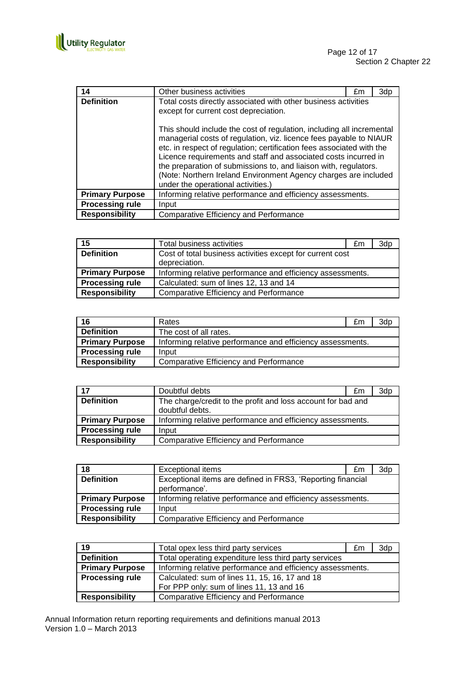

| 14                     | Other business activities                                                                                                                                                                                                                                                                                                                                                                                                                                            | £m | 3dp |
|------------------------|----------------------------------------------------------------------------------------------------------------------------------------------------------------------------------------------------------------------------------------------------------------------------------------------------------------------------------------------------------------------------------------------------------------------------------------------------------------------|----|-----|
| <b>Definition</b>      | Total costs directly associated with other business activities<br>except for current cost depreciation.                                                                                                                                                                                                                                                                                                                                                              |    |     |
|                        | This should include the cost of regulation, including all incremental<br>managerial costs of regulation, viz. licence fees payable to NIAUR<br>etc. in respect of regulation; certification fees associated with the<br>Licence requirements and staff and associated costs incurred in<br>the preparation of submissions to, and liaison with, regulators.<br>(Note: Northern Ireland Environment Agency charges are included<br>under the operational activities.) |    |     |
| <b>Primary Purpose</b> | Informing relative performance and efficiency assessments.                                                                                                                                                                                                                                                                                                                                                                                                           |    |     |
| <b>Processing rule</b> | Input                                                                                                                                                                                                                                                                                                                                                                                                                                                                |    |     |
| <b>Responsibility</b>  | <b>Comparative Efficiency and Performance</b>                                                                                                                                                                                                                                                                                                                                                                                                                        |    |     |

| 15                     | Total business activities                                                  | £m | 3dp |
|------------------------|----------------------------------------------------------------------------|----|-----|
| <b>Definition</b>      | Cost of total business activities except for current cost<br>depreciation. |    |     |
| <b>Primary Purpose</b> | Informing relative performance and efficiency assessments.                 |    |     |
| <b>Processing rule</b> | Calculated: sum of lines 12, 13 and 14                                     |    |     |
| <b>Responsibility</b>  | <b>Comparative Efficiency and Performance</b>                              |    |     |

| 16                     | Rates                                                      | £m | 3dp |
|------------------------|------------------------------------------------------------|----|-----|
| <b>Definition</b>      | The cost of all rates.                                     |    |     |
| <b>Primary Purpose</b> | Informing relative performance and efficiency assessments. |    |     |
| <b>Processing rule</b> | Input                                                      |    |     |
| <b>Responsibility</b>  | <b>Comparative Efficiency and Performance</b>              |    |     |

| 17                     | Doubtful debts                                               | £m | 3dp |
|------------------------|--------------------------------------------------------------|----|-----|
| <b>Definition</b>      | The charge/credit to the profit and loss account for bad and |    |     |
|                        | doubtful debts.                                              |    |     |
| <b>Primary Purpose</b> | Informing relative performance and efficiency assessments.   |    |     |
| <b>Processing rule</b> | Input                                                        |    |     |
| <b>Responsibility</b>  | <b>Comparative Efficiency and Performance</b>                |    |     |

| 18                     | <b>Exceptional items</b>                                                     | £m | 3dp |
|------------------------|------------------------------------------------------------------------------|----|-----|
| <b>Definition</b>      | Exceptional items are defined in FRS3, 'Reporting financial<br>performance'. |    |     |
| <b>Primary Purpose</b> | Informing relative performance and efficiency assessments.                   |    |     |
| <b>Processing rule</b> | Input                                                                        |    |     |
| <b>Responsibility</b>  | <b>Comparative Efficiency and Performance</b>                                |    |     |

| 19                     | Total opex less third party services                       | £m | 3dp |
|------------------------|------------------------------------------------------------|----|-----|
| <b>Definition</b>      | Total operating expenditure less third party services      |    |     |
| <b>Primary Purpose</b> | Informing relative performance and efficiency assessments. |    |     |
| <b>Processing rule</b> | Calculated: sum of lines 11, 15, 16, 17 and 18             |    |     |
|                        | For PPP only: sum of lines 11, 13 and 16                   |    |     |
| <b>Responsibility</b>  | Comparative Efficiency and Performance                     |    |     |

Annual Information return reporting requirements and definitions manual 2013 Version 1.0 – March 2013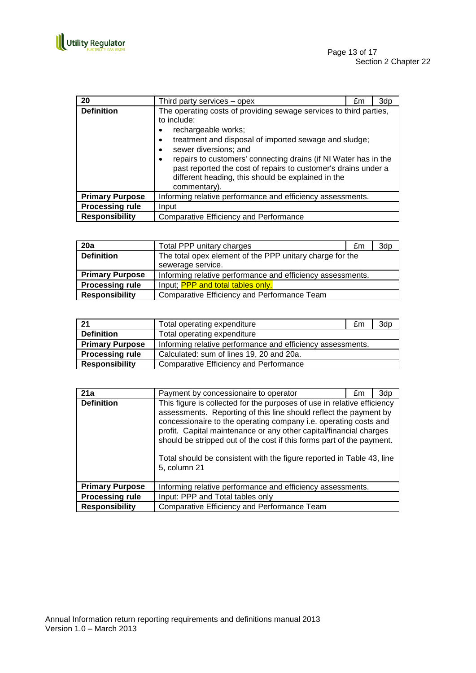

| 20                     | Third party services – opex                                                                                                                                                                                                                                                                                                                                                                                                  | £m | 3dp |
|------------------------|------------------------------------------------------------------------------------------------------------------------------------------------------------------------------------------------------------------------------------------------------------------------------------------------------------------------------------------------------------------------------------------------------------------------------|----|-----|
| <b>Definition</b>      | The operating costs of providing sewage services to third parties,<br>to include:<br>rechargeable works;<br>treatment and disposal of imported sewage and sludge;<br>٠<br>sewer diversions; and<br>٠<br>repairs to customers' connecting drains (if NI Water has in the<br>$\bullet$<br>past reported the cost of repairs to customer's drains under a<br>different heading, this should be explained in the<br>commentary). |    |     |
| <b>Primary Purpose</b> | Informing relative performance and efficiency assessments.                                                                                                                                                                                                                                                                                                                                                                   |    |     |
| <b>Processing rule</b> | Input                                                                                                                                                                                                                                                                                                                                                                                                                        |    |     |
| <b>Responsibility</b>  | <b>Comparative Efficiency and Performance</b>                                                                                                                                                                                                                                                                                                                                                                                |    |     |

| 20a                    | Total PPP unitary charges                                  | £m | 3dp |
|------------------------|------------------------------------------------------------|----|-----|
| <b>Definition</b>      | The total opex element of the PPP unitary charge for the   |    |     |
|                        | sewerage service.                                          |    |     |
| <b>Primary Purpose</b> | Informing relative performance and efficiency assessments. |    |     |
| <b>Processing rule</b> | Input; PPP and total tables only.                          |    |     |
| <b>Responsibility</b>  | Comparative Efficiency and Performance Team                |    |     |

| 21                     | Total operating expenditure                                | £m | 3dp |
|------------------------|------------------------------------------------------------|----|-----|
| <b>Definition</b>      | Total operating expenditure                                |    |     |
| <b>Primary Purpose</b> | Informing relative performance and efficiency assessments. |    |     |
| <b>Processing rule</b> | Calculated: sum of lines 19, 20 and 20a.                   |    |     |
| <b>Responsibility</b>  | <b>Comparative Efficiency and Performance</b>              |    |     |

| 21a                    | Payment by concessionaire to operator                                                                                                                                                                                                                                                                                                                                                                                                                    | £m | 3dp |
|------------------------|----------------------------------------------------------------------------------------------------------------------------------------------------------------------------------------------------------------------------------------------------------------------------------------------------------------------------------------------------------------------------------------------------------------------------------------------------------|----|-----|
| <b>Definition</b>      | This figure is collected for the purposes of use in relative efficiency<br>assessments. Reporting of this line should reflect the payment by<br>concessionaire to the operating company i.e. operating costs and<br>profit. Capital maintenance or any other capital/financial charges<br>should be stripped out of the cost if this forms part of the payment.<br>Total should be consistent with the figure reported in Table 43, line<br>5, column 21 |    |     |
| <b>Primary Purpose</b> | Informing relative performance and efficiency assessments.                                                                                                                                                                                                                                                                                                                                                                                               |    |     |
| <b>Processing rule</b> | Input: PPP and Total tables only                                                                                                                                                                                                                                                                                                                                                                                                                         |    |     |
| <b>Responsibility</b>  | Comparative Efficiency and Performance Team                                                                                                                                                                                                                                                                                                                                                                                                              |    |     |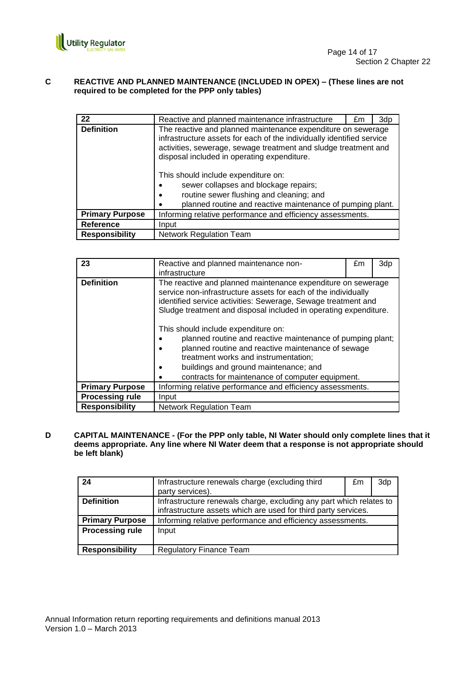

## **C REACTIVE AND PLANNED MAINTENANCE (INCLUDED IN OPEX) – (These lines are not required to be completed for the PPP only tables)**

| 22                     | Reactive and planned maintenance infrastructure                                                                                                                                                                                                         | £m | 3dp |
|------------------------|---------------------------------------------------------------------------------------------------------------------------------------------------------------------------------------------------------------------------------------------------------|----|-----|
| <b>Definition</b>      | The reactive and planned maintenance expenditure on sewerage<br>infrastructure assets for each of the individually identified service<br>activities, sewerage, sewage treatment and sludge treatment and<br>disposal included in operating expenditure. |    |     |
|                        | This should include expenditure on:<br>sewer collapses and blockage repairs;<br>routine sewer flushing and cleaning; and<br>$\bullet$<br>planned routine and reactive maintenance of pumping plant.                                                     |    |     |
| <b>Primary Purpose</b> | Informing relative performance and efficiency assessments.                                                                                                                                                                                              |    |     |
| <b>Reference</b>       | Input                                                                                                                                                                                                                                                   |    |     |
| <b>Responsibility</b>  | Network Regulation Team                                                                                                                                                                                                                                 |    |     |

| 23                     | Reactive and planned maintenance non-<br>infrastructure                                                                                                                                                                                                                                      | £m | 3dp |
|------------------------|----------------------------------------------------------------------------------------------------------------------------------------------------------------------------------------------------------------------------------------------------------------------------------------------|----|-----|
| <b>Definition</b>      | The reactive and planned maintenance expenditure on sewerage<br>service non-infrastructure assets for each of the individually<br>identified service activities: Sewerage, Sewage treatment and<br>Sludge treatment and disposal included in operating expenditure.                          |    |     |
|                        | This should include expenditure on:<br>planned routine and reactive maintenance of pumping plant;<br>planned routine and reactive maintenance of sewage<br>treatment works and instrumentation;<br>buildings and ground maintenance; and<br>contracts for maintenance of computer equipment. |    |     |
| <b>Primary Purpose</b> | Informing relative performance and efficiency assessments.                                                                                                                                                                                                                                   |    |     |
| <b>Processing rule</b> | Input                                                                                                                                                                                                                                                                                        |    |     |
| <b>Responsibility</b>  | <b>Network Regulation Team</b>                                                                                                                                                                                                                                                               |    |     |

**D CAPITAL MAINTENANCE - (For the PPP only table, NI Water should only complete lines that it deems appropriate. Any line where NI Water deem that a response is not appropriate should be left blank)**

| 24                     | Infrastructure renewals charge (excluding third                                                                                       | £m | 3dp |
|------------------------|---------------------------------------------------------------------------------------------------------------------------------------|----|-----|
|                        | party services).                                                                                                                      |    |     |
| <b>Definition</b>      | Infrastructure renewals charge, excluding any part which relates to<br>infrastructure assets which are used for third party services. |    |     |
| <b>Primary Purpose</b> | Informing relative performance and efficiency assessments.                                                                            |    |     |
| <b>Processing rule</b> | Input                                                                                                                                 |    |     |
| <b>Responsibility</b>  | <b>Regulatory Finance Team</b>                                                                                                        |    |     |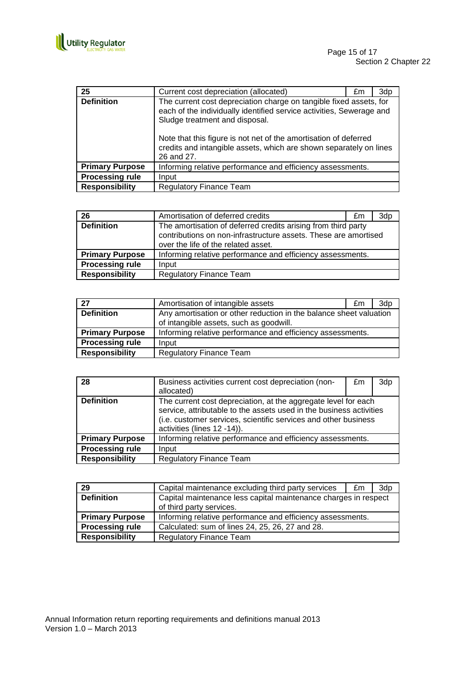

| 25                     | Current cost depreciation (allocated)                                                                                                                                                                                                                                                                                                | £m | 3dp |
|------------------------|--------------------------------------------------------------------------------------------------------------------------------------------------------------------------------------------------------------------------------------------------------------------------------------------------------------------------------------|----|-----|
| <b>Definition</b>      | The current cost depreciation charge on tangible fixed assets, for<br>each of the individually identified service activities, Sewerage and<br>Sludge treatment and disposal.<br>Note that this figure is not net of the amortisation of deferred<br>credits and intangible assets, which are shown separately on lines<br>26 and 27. |    |     |
| <b>Primary Purpose</b> | Informing relative performance and efficiency assessments.                                                                                                                                                                                                                                                                           |    |     |
| <b>Processing rule</b> | Input                                                                                                                                                                                                                                                                                                                                |    |     |
| <b>Responsibility</b>  | <b>Regulatory Finance Team</b>                                                                                                                                                                                                                                                                                                       |    |     |

| 26                     | Amortisation of deferred credits                                                                                                                                        | £m | 3dp |
|------------------------|-------------------------------------------------------------------------------------------------------------------------------------------------------------------------|----|-----|
| <b>Definition</b>      | The amortisation of deferred credits arising from third party<br>contributions on non-infrastructure assets. These are amortised<br>over the life of the related asset. |    |     |
| <b>Primary Purpose</b> | Informing relative performance and efficiency assessments.                                                                                                              |    |     |
| <b>Processing rule</b> | Input                                                                                                                                                                   |    |     |
| <b>Responsibility</b>  | <b>Regulatory Finance Team</b>                                                                                                                                          |    |     |

| 27                     | Amortisation of intangible assets                                                                             | £m. | 3dp |
|------------------------|---------------------------------------------------------------------------------------------------------------|-----|-----|
| <b>Definition</b>      | Any amortisation or other reduction in the balance sheet valuation<br>of intangible assets, such as goodwill. |     |     |
| <b>Primary Purpose</b> | Informing relative performance and efficiency assessments.                                                    |     |     |
| <b>Processing rule</b> | Input                                                                                                         |     |     |
| <b>Responsibility</b>  | <b>Regulatory Finance Team</b>                                                                                |     |     |

| 28                     | Business activities current cost depreciation (non-<br>allocated)                                                                                                                                                                       | £m | 3dp |
|------------------------|-----------------------------------------------------------------------------------------------------------------------------------------------------------------------------------------------------------------------------------------|----|-----|
| <b>Definition</b>      | The current cost depreciation, at the aggregate level for each<br>service, attributable to the assets used in the business activities<br>(i.e. customer services, scientific services and other business<br>activities (lines 12 -14)). |    |     |
| <b>Primary Purpose</b> | Informing relative performance and efficiency assessments.                                                                                                                                                                              |    |     |
| <b>Processing rule</b> | Input                                                                                                                                                                                                                                   |    |     |
| <b>Responsibility</b>  | <b>Regulatory Finance Team</b>                                                                                                                                                                                                          |    |     |

| 29                     | Capital maintenance excluding third party services                                          | £m | 3dp |
|------------------------|---------------------------------------------------------------------------------------------|----|-----|
| <b>Definition</b>      | Capital maintenance less capital maintenance charges in respect<br>of third party services. |    |     |
| <b>Primary Purpose</b> | Informing relative performance and efficiency assessments.                                  |    |     |
| <b>Processing rule</b> | Calculated: sum of lines 24, 25, 26, 27 and 28.                                             |    |     |
| <b>Responsibility</b>  | <b>Regulatory Finance Team</b>                                                              |    |     |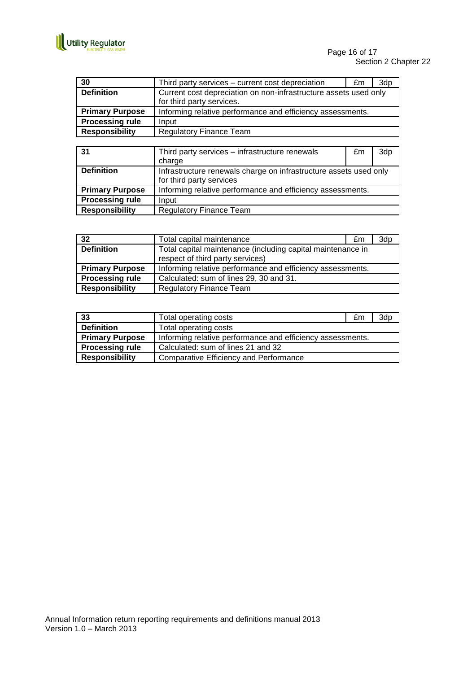

| 30                     | Third party services – current cost depreciation                 | £m | 3d <sub>p</sub> |
|------------------------|------------------------------------------------------------------|----|-----------------|
| <b>Definition</b>      | Current cost depreciation on non-infrastructure assets used only |    |                 |
|                        | for third party services.                                        |    |                 |
| <b>Primary Purpose</b> | Informing relative performance and efficiency assessments.       |    |                 |
| <b>Processing rule</b> | Input                                                            |    |                 |
| <b>Responsibility</b>  | <b>Regulatory Finance Team</b>                                   |    |                 |

| 31                     | Third party services - infrastructure renewals                    | £m | 3dp |
|------------------------|-------------------------------------------------------------------|----|-----|
|                        | charge                                                            |    |     |
| <b>Definition</b>      | Infrastructure renewals charge on infrastructure assets used only |    |     |
|                        | for third party services                                          |    |     |
| <b>Primary Purpose</b> | Informing relative performance and efficiency assessments.        |    |     |
| <b>Processing rule</b> | Input                                                             |    |     |
| <b>Responsibility</b>  | <b>Regulatory Finance Team</b>                                    |    |     |

| 32                     | Total capital maintenance                                   | £m | 3dp |
|------------------------|-------------------------------------------------------------|----|-----|
| <b>Definition</b>      | Total capital maintenance (including capital maintenance in |    |     |
|                        | respect of third party services)                            |    |     |
| <b>Primary Purpose</b> | Informing relative performance and efficiency assessments.  |    |     |
| <b>Processing rule</b> | Calculated: sum of lines 29, 30 and 31.                     |    |     |
| <b>Responsibility</b>  | <b>Regulatory Finance Team</b>                              |    |     |

| 33                     | Total operating costs                                      | £m | 3d <sub>p</sub> |
|------------------------|------------------------------------------------------------|----|-----------------|
| <b>Definition</b>      | Total operating costs                                      |    |                 |
| <b>Primary Purpose</b> | Informing relative performance and efficiency assessments. |    |                 |
| <b>Processing rule</b> | Calculated: sum of lines 21 and 32                         |    |                 |
| <b>Responsibility</b>  | <b>Comparative Efficiency and Performance</b>              |    |                 |